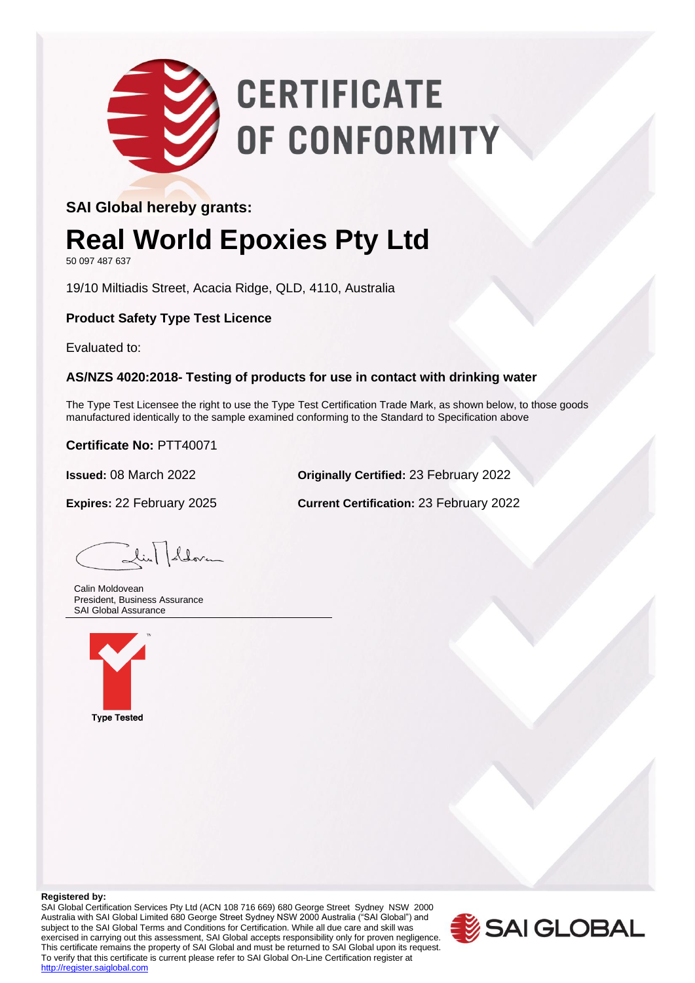# **CERTIFICATE** OF CONFORMITY

### **SAI Global hereby grants:**

### **Real World Epoxies Pty Ltd**

50 097 487 637

19/10 Miltiadis Street, Acacia Ridge, QLD, 4110, Australia

**Product Safety Type Test Licence**

Evaluated to:

#### **AS/NZS 4020:2018- Testing of products for use in contact with drinking water**

The Type Test Licensee the right to use the Type Test Certification Trade Mark, as shown below, to those goods manufactured identically to the sample examined conforming to the Standard to Specification above

**Certificate No:** PTT40071

**Issued:** 08 March 2022 **Originally Certified:** 23 February 2022

**Expires:** 22 February 2025 **Current Certification:** 23 February 2022

Lin Lloven

 Calin Moldovean President, Business Assurance SAI Global Assurance



#### **Registered by:**

SAI Global Certification Services Pty Ltd (ACN 108 716 669) 680 George Street Sydney NSW 2000 Australia with SAI Global Limited 680 George Street Sydney NSW 2000 Australia ("SAI Global") and subject to the SAI Global Terms and Conditions for Certification. While all due care and skill was exercised in carrying out this assessment, SAI Global accepts responsibility only for proven negligence. This certificate remains the property of SAI Global and must be returned to SAI Global upon its request. To verify that this certificate is current please refer to SAI Global On-Line Certification register at http://register.saiglobal.com